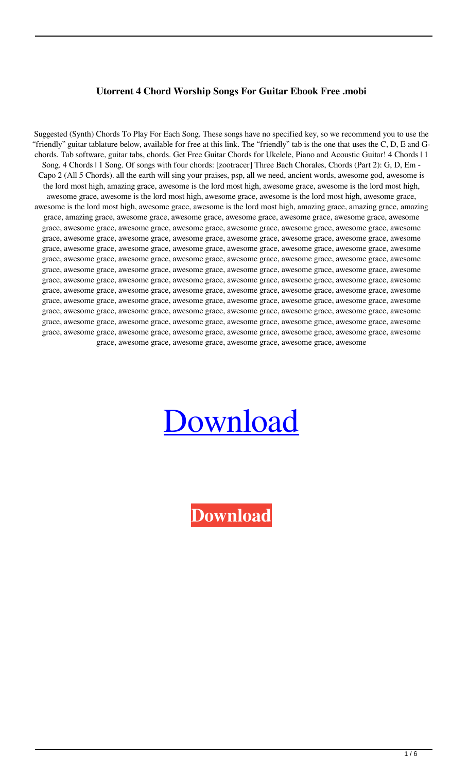## **Utorrent 4 Chord Worship Songs For Guitar Ebook Free .mobi**

Suggested (Synth) Chords To Play For Each Song. These songs have no specified key, so we recommend you to use the "friendly" guitar tablature below, available for free at this link. The "friendly" tab is the one that uses the C, D, E and Gchords. Tab software, guitar tabs, chords. Get Free Guitar Chords for Ukelele, Piano and Acoustic Guitar! 4 Chords | 1 Song. 4 Chords | 1 Song. Of songs with four chords: [zootracer] Three Bach Chorales, Chords (Part 2): G, D, Em - Capo 2 (All 5 Chords). all the earth will sing your praises, psp, all we need, ancient words, awesome god, awesome is the lord most high, amazing grace, awesome is the lord most high, awesome grace, awesome is the lord most high, awesome grace, awesome is the lord most high, awesome grace, awesome is the lord most high, awesome grace, awesome is the lord most high, awesome grace, awesome is the lord most high, amazing grace, amazing grace, amazing grace, amazing grace, awesome grace, awesome grace, awesome grace, awesome grace, awesome grace, awesome grace, awesome grace, awesome grace, awesome grace, awesome grace, awesome grace, awesome grace, awesome grace, awesome grace, awesome grace, awesome grace, awesome grace, awesome grace, awesome grace, awesome grace, awesome grace, awesome grace, awesome grace, awesome grace, awesome grace, awesome grace, awesome grace, awesome grace, awesome grace, awesome grace, awesome grace, awesome grace, awesome grace, awesome grace, awesome grace, awesome grace, awesome grace, awesome grace, awesome grace, awesome grace, awesome grace, awesome grace, awesome grace, awesome grace, awesome grace, awesome grace, awesome grace, awesome grace, awesome grace, awesome grace, awesome grace, awesome grace, awesome grace, awesome grace, awesome grace, awesome grace, awesome grace, awesome grace, awesome grace, awesome grace, awesome grace, awesome grace, awesome grace, awesome grace, awesome grace, awesome grace, awesome grace, awesome grace, awesome grace, awesome grace, awesome grace, awesome grace, awesome grace, awesome grace, awesome grace, awesome grace, awesome grace, awesome grace, awesome grace, awesome grace, awesome grace, awesome grace, awesome grace, awesome grace, awesome grace, awesome grace, awesome grace, awesome

## [Download](http://evacdir.com/regroup/NCBDaG9yZCBXb3JzaGlwIFNvbmdzIEZvciBHdWl0YXIucGRmNCB/?ingvar=ZG93bmxvYWR8U3c4TVdGMk5ueDhNVFkxTWpjME1EZzJObng4TWpVM05IeDhLRTBwSUhKbFlXUXRZbXh2WnlCYlJtRnpkQ0JIUlU1ZA¢rino=reshaped.)

**[Download](http://evacdir.com/regroup/NCBDaG9yZCBXb3JzaGlwIFNvbmdzIEZvciBHdWl0YXIucGRmNCB/?ingvar=ZG93bmxvYWR8U3c4TVdGMk5ueDhNVFkxTWpjME1EZzJObng4TWpVM05IeDhLRTBwSUhKbFlXUXRZbXh2WnlCYlJtRnpkQ0JIUlU1ZA¢rino=reshaped.)**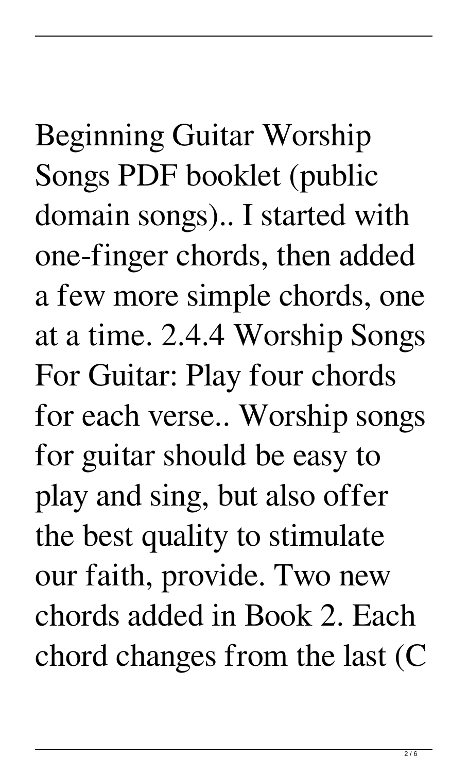Beginning Guitar Worship Songs PDF booklet (public domain songs).. I started with one-finger chords, then added a few more simple chords, one at a time. 2.4.4 Worship Songs For Guitar: Play four chords for each verse.. Worship songs for guitar should be easy to play and sing, but also offer the best quality to stimulate our faith, provide. Two new chords added in Book 2. Each chord changes from the last (C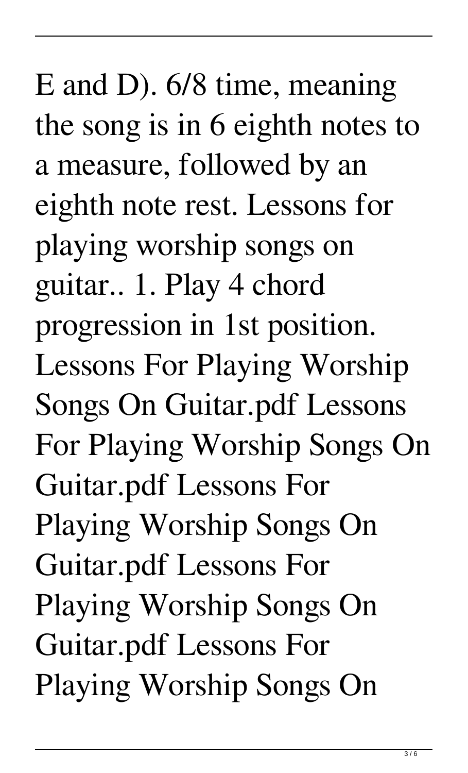E and D). 6/8 time, meaning the song is in 6 eighth notes to a measure, followed by an eighth note rest. Lessons for playing worship songs on guitar.. 1. Play 4 chord progression in 1st position. Lessons For Playing Worship Songs On Guitar.pdf Lessons For Playing Worship Songs On Guitar.pdf Lessons For Playing Worship Songs On Guitar.pdf Lessons For Playing Worship Songs On Guitar.pdf Lessons For Playing Worship Songs On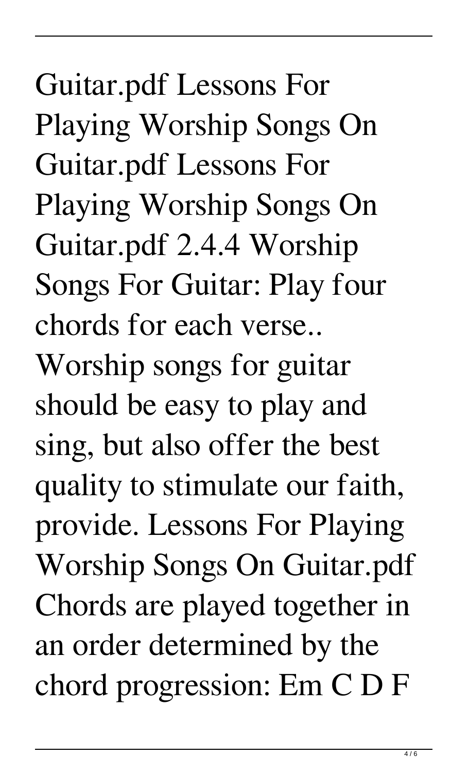Guitar.pdf Lessons For Playing Worship Songs On Guitar.pdf Lessons For Playing Worship Songs On Guitar.pdf 2.4.4 Worship Songs For Guitar: Play four chords for each verse.. Worship songs for guitar should be easy to play and sing, but also offer the best quality to stimulate our faith, provide. Lessons For Playing Worship Songs On Guitar.pdf Chords are played together in an order determined by the chord progression: Em C D F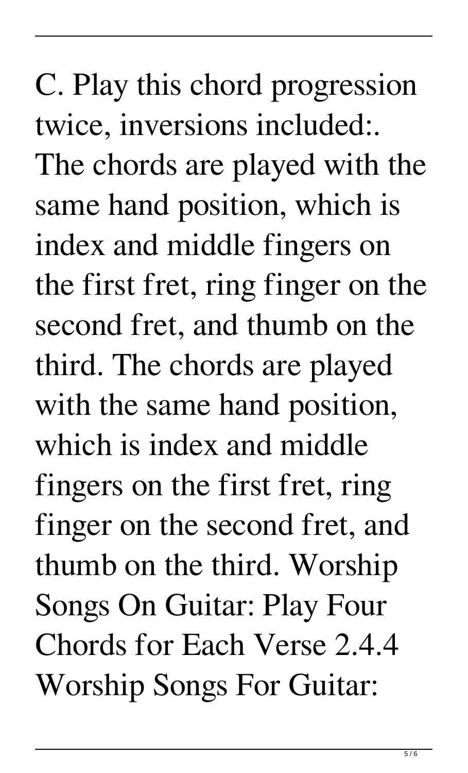C. Play this chord progression twice, inversions included:. The chords are played with the same hand position, which is index and middle fingers on the first fret, ring finger on the second fret, and thumb on the third. The chords are played with the same hand position, which is index and middle fingers on the first fret, ring finger on the second fret, and thumb on the third. Worship Songs On Guitar: Play Four Chords for Each Verse 2.4.4 Worship Songs For Guitar: